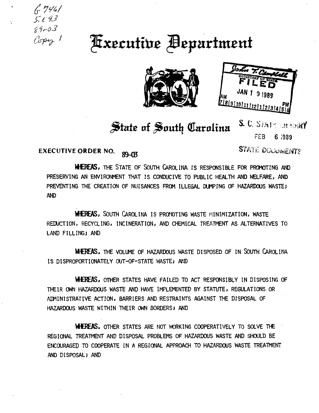$6746/$  $5.593$  $89 - 03$ Copy 1

## **Executive Bepartment**





## State of South Carolina

S. C. STATE ENTOIRY FEB 6 1989

**STATE DUCUMENTS** 

## **EXECUTIVE ORDER NO.** 89-03

WHEREAS, THE STATE OF SOUTH CAROLINA IS RESPONSIBLE FOR PROMOTING AND PRESERVING AN ENVIRONMENT THAT IS CONDUCIVE TO PUBLIC HEALTH AND WELFARE, AND PREVENTING THE CREATION OF NUISANCES FROM ILLEGAL DUMPING OF HAZARDOUS WASTE; **AND** 

**WIEREAS, SOUTH CAROLINA IS PROMOTING WASTE MINIMIZATION, WASTE** REDUCTION, RECYCLING, INCINERATION, AND CHEMICAL TREATMENT AS ALTERNATIVES TO LAND FILLING; AND

**WHEREAS, THE VOLUME OF HAZARDOUS WASTE DISPOSED OF IN SOUTH CAROLINA** IS DISPROPORTIONATELY OUT-OF-STATE WASTE; AND

WHEREAS. OTHER STATES HAVE FAILED TO ACT RESPONSIBLY IN DISPOSING OF THEIR OWN HAZARDOUS WASTE AND HAVE IMPLEMENTED BY STATUTE, REGULATIONS OR ADMINISTRATIVE ACTION, BARRIERS AND RESTRAINTS AGAINST THE DISPOSAL OF HAZARDOUS WASTE WITHIN THEIR OWN BORDERS; AND

WHEREAS. OTHER STATES ARE NOT WORKING COOPERATIVELY TO SOLVE THE REGIONAL TREATMENT AND DISPOSAL PROBLEMS OF HAZARDOUS WASTE AND SHOULD BE ENCOURAGED TO COOPERATE IN A REGIONAL APPROACH TO HAZARDOUS WASTE TREATMENT AND DISPOSAL; AND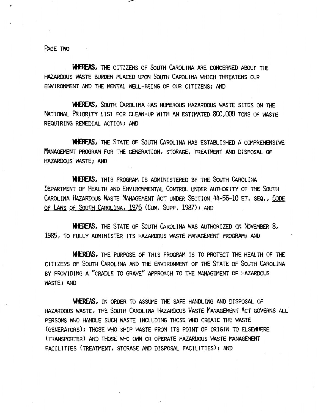PAGE TWO

WHEREAS. THE CITIZENS OF SOUTH CAROLINA ARE CONCERNED ABOUT THE HAZARDOUS WASTE BURDEN PLACED UPON SOUTH CAROLINA WHICH THREATENS OUR ENVIRONMENT AND THE MENTAL WELL-BEING OF OUR CITIZENS; AND

WHEREAS, SOUTH CAROLINA HAS NUMEROUS HAZARDOUS WASTE SITES ON THE NATIONAL PRIORITY LIST FOR CLEAN-UP WITH AN ESTIMATED 800,000 TONS OF WASTE REQUIRING REMEDIAL ACTION; AND

WHEREAS, THE STATE OF SOUTH CAROLINA HAS ESTABLISHED A COMPREHENSIVE MANAGEMENT PROGRAM FOR THE GENERATION, STORAGE, TREATMENT AND DISPOSAL OF HAZARDOUS WASTE; AND

WHEREAS, THIS PROGRAM IS ADMINISTERED BY THE SOUTH CAROLINA DEPARTMENT OF HEALTH AND ENVIRONMENTAL CoNTROL UNDER AUTHORITY OF THE SOUTH CAROLINA HAZARDOUS WASTE MANAGEMENT ACT UNDER SECTION 44-56-10 ET, SEQ, CODE OF LAWS OF SOUTH CAROLINA, 1976 (CUM. SUPP, 1987); AND

WHEREAS, THE STATE OF SOUTH CAROLINA WAS AUTHORIZED ON NOVEMBER 8, 1985, TO FULLY ADMINISTER ITS HAZARDOUS WASTE MANAGEMENT PROGRAM; AND

WHEREAS, THE PURPOSE OF THIS PROGRAM IS TO PROTECT THE HEALTH OF THE CITIZENS OF SOUTH CAROLINA AND THE ENVIRONMENT OF THE STATE OF SOUTH CAROLINA BY PROVIDING A "CRADLE TO GRAVE" APPROACH TO THE MANAGEMENT OF HAZARDOUS WASTE; AND

WHEREAS, IN ORDER TO ASSUME THE SAFE HANDLING AND DISPOSAL OF HAZARDOUS WASTE, THE SOUTH CAROLINA HAZARDOUS WASTE MANAGEMENT ACT GOVERNS ALL PERSONS WHO HANDLE SUCH WASTE INCLUDING THOSE WHO CREATE THE WASTE (GENERATORS); THOSE WHO SHIP WASTE FROM ITS POINT OF ORIGIN TO ELSEWHERE (TRANSPORTER) AND THOSE WHO OWN OR OPERATE HAZARDOUS WASTE MANAGEMENT FACILITIES (TREATMENT, STORAGE AND DISPOSAL FACILITIES); AND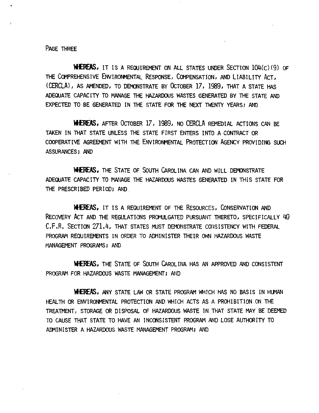PAGE THREE

WHEREAS, IT IS A REQUIREMENT ON ALL STATES UNDER SECTION 104(C) (9) OF THE COMPREHENSIVE ENVIRONMENTAL RESPONSE, COMPENSATION, AND LIABILITY ACT, (CERCLA), AS AMENDED, TO DEMONSTRATE BY OCTOBER 17, 1989, THAT A STATE HAS ADEQUATE CAPACITY TO MANAGE THE HAZARDOUS WASTES GENERATED BY THE STATE AND EXPECTED TO BE GENERATED IN THE STATE FOR THE NEXT TWENTY YEARS; AND

**WHEREAS,** AFTER OCTOBER 17, 1989, NO CERCLA REMEDIAL ACTIONS CAN BE TAKEN IN THAT STATE UNLESS THE STATE FIRST ENTERS INTO A CONTRACT OR COOPERATIVE AGREEMENT WITH THE ENVIRONMENTAL PROTECTION AGENCY PROVIDING SUCH ASSURANCES; AND

WHEREAS, THE STATE OF SOUTH CAROLINA CAN AND WILL DEMONSTRATE ADEQUATE CAPACITY TO MANAGE THE HAZARDOUS WASTES GENERATED IN THIS STATE FOR THE PRESCRIBED PERIOD; AND.

N£REAS. IT IS A REQUIREMENT OF THE RESOURCES, CoNSERVATION AND RECOVERY ACT AND THE REGULATIONS PROMULGATED PURSUANT THERETO, SPECIFICALLY 40 C.F.R. SECTION 271.4, THAT STATES MUST DEMONSTRATE CONSISTENCY WITH FEDERAL PROGRAM REQUIREMENTS IN ORDER TO ADMINISTER THEIR OWN HAZARDOUS WASTE MANAGEMENT PROGRAMS; AND

WHEREAS, THE STATE OF SOUTH CAROLINA HAS AN APPROVED AND CONSISTENT PROGRAM FOR HAZARDOUS WASTE MANAGEMENT; AND

WHEREAS, ANY STATE LAW OR STATE PROGRAM WHICH HAS NO BASIS IN HUMAN HEALTH OR ENVIRONMENTAL PROTECTION AND WHICH ACTS AS A PROHIBITION ON THE TREATMENT, STORAGE OR DISPOSAL OF HAZARDOUS WASTE IN THAT STATE MAY BE DEEMED TO CAUSE THAT STATE TO HAVE AN INCONSISTENT PROGRAM AND LOSE AUTHORITY TO ADMINISTER A HAZARDOUS WASTE MANAGEMENT PROGRAM; AND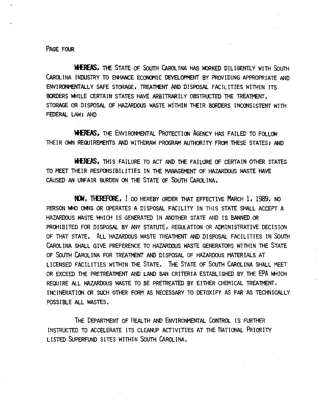PAGE FOUR

**WIEREAS, THE STATE OF SOUTH CAROLINA HAS WORKED DILIGENTLY WITH SOUTH** CAROLINA INDUSTRY TO ENHANCE ECONOMIC DEVELOPMENT BY PROVIDING APPROPRIATE AND ENVIRONMENTALLY SAFE STORAGE, TREATMENT AND DISPOSAL FACILITIES WITHIN ITS BORDERS WHILE CERTAIN STATES HAVE ARBITRARILY OBSTRUCTED THE TREATMENT, STORAGE OR DISPOSAL OF HAZARDOUS WASTE WITHIN THEIR BORDERS INCONSISTENT WITH FEDERAL LAW; AND

**WHEREAS, THE ENVIRONMENTAL PROTECTION AGENCY HAS FAILED TO FOLLOW** THEIR OWN REQUIREMENTS AND WITHDRAW PROGRAM AUTHORITY FROM THESE STATES; AND

**WIEREAS, THIS FAILURE TO ACT AND THE FAILURE OF CERTAIN OTHER STATES** TO MEET THEIR RESPONSIBILITIES IN THE MANAGEMENT OF HAZARDOUS WASTE HAVE CAUSED AN UNFAIR BURDEN ON THE STATE OF SOUTH CAROLINA.

NOW, THEREFORE, I DO HEREBY ORDER THAT EFFECTIVE MARCH 1, 1989, NO PERSON WHO OWNS OR OPERATES A DISPOSAL FACILITY IN THIS STATE SHALL ACCEPT A HAZARDOUS WASTE WHICH IS GENERATED IN ANOTHER STATE AND IS BANNED OR PROHIBITED FOR DISPOSAL BY ANY STATUTE, REGULATION OR ADMINISTRATIVE DECISION OF THAT STATE. ALL HAZARDOUS WASTE TREATMENT AND DISPOSAL FACILITIES IN SOUTH CAROLINA SHALL GIVE PREFERENCE TO HAZARDOUS WASTE GENERATORS WITHIN THE STATE OF SOUTH CAROLINA FOR TREATMENT AND DISPOSAL OF HAZARDOUS MATERIALS AT LICENSED FACILITIES WITHIN THE STATE. THE STATE OF SOUTH CAROLINA SHALL MEET OR EXCEED THE PRETREATMENT AND LAND BAN CRITERIA ESTABLISHED BY THE LPA WHICH REQUIRE ALL HAZARDOUS WASTE TO BE PRETREATED BY EITHER CHEMICAL TREATMENT, INCINERATION OR SUCH OTHER FORM AS NECESSARY TO DETOXIFY AS FAR AS TECHNICALLY POSSIBLE ALL WASTES.

THE DEPARTMENT OF HEALTH AND ENVIRONMENTAL CONTROL IS FURTHER INSTRUCTED TO ACCELERATE ITS CLEANUP ACTIVITIES AT THE NATIONAL PRIORITY LISTED SUPERFUND SITES WITHIN SOUTH CAROLINA.